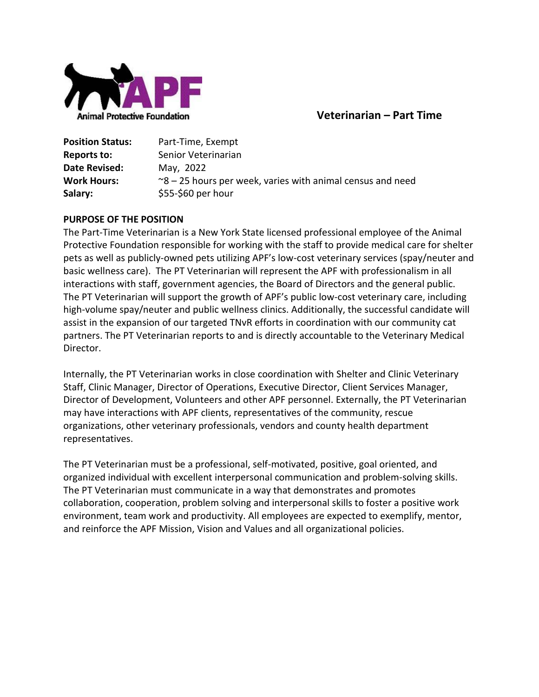

# **Veterinarian – Part Time**

| <b>Position Status:</b> | Part-Time, Exempt                                                   |
|-------------------------|---------------------------------------------------------------------|
| Reports to:             | Senior Veterinarian                                                 |
| Date Revised:           | May, 2022                                                           |
| <b>Work Hours:</b>      | $\approx$ 8 – 25 hours per week, varies with animal census and need |
| Salary:                 | $$55-$60$ per hour                                                  |

#### **PURPOSE OF THE POSITION**

The Part-Time Veterinarian is a New York State licensed professional employee of the Animal Protective Foundation responsible for working with the staff to provide medical care for shelter pets as well as publicly-owned pets utilizing APF's low-cost veterinary services (spay/neuter and basic wellness care). The PT Veterinarian will represent the APF with professionalism in all interactions with staff, government agencies, the Board of Directors and the general public. The PT Veterinarian will support the growth of APF's public low-cost veterinary care, including high-volume spay/neuter and public wellness clinics. Additionally, the successful candidate will assist in the expansion of our targeted TNvR efforts in coordination with our community cat partners. The PT Veterinarian reports to and is directly accountable to the Veterinary Medical Director.

Internally, the PT Veterinarian works in close coordination with Shelter and Clinic Veterinary Staff, Clinic Manager, Director of Operations, Executive Director, Client Services Manager, Director of Development, Volunteers and other APF personnel. Externally, the PT Veterinarian may have interactions with APF clients, representatives of the community, rescue organizations, other veterinary professionals, vendors and county health department representatives.

The PT Veterinarian must be a professional, self-motivated, positive, goal oriented, and organized individual with excellent interpersonal communication and problem-solving skills. The PT Veterinarian must communicate in a way that demonstrates and promotes collaboration, cooperation, problem solving and interpersonal skills to foster a positive work environment, team work and productivity. All employees are expected to exemplify, mentor, and reinforce the APF Mission, Vision and Values and all organizational policies.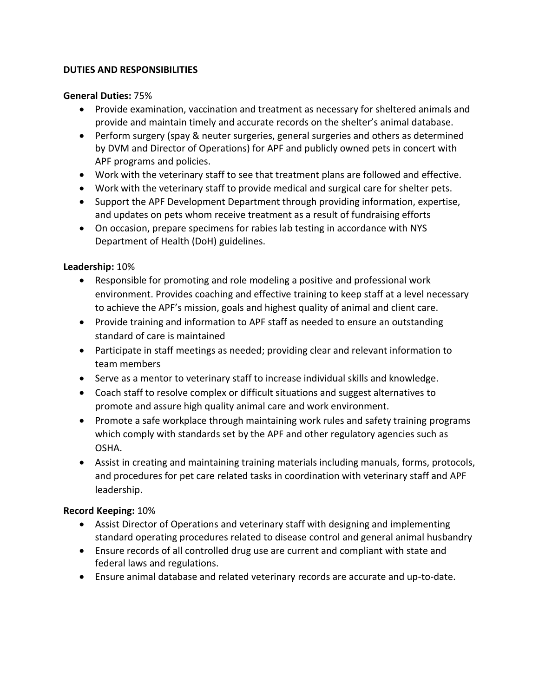#### **DUTIES AND RESPONSIBILITIES**

#### **General Duties:** 75%

- Provide examination, vaccination and treatment as necessary for sheltered animals and provide and maintain timely and accurate records on the shelter's animal database.
- Perform surgery (spay & neuter surgeries, general surgeries and others as determined by DVM and Director of Operations) for APF and publicly owned pets in concert with APF programs and policies.
- Work with the veterinary staff to see that treatment plans are followed and effective.
- Work with the veterinary staff to provide medical and surgical care for shelter pets.
- Support the APF Development Department through providing information, expertise, and updates on pets whom receive treatment as a result of fundraising efforts
- On occasion, prepare specimens for rabies lab testing in accordance with NYS Department of Health (DoH) guidelines.

## **Leadership:** 10%

- Responsible for promoting and role modeling a positive and professional work environment. Provides coaching and effective training to keep staff at a level necessary to achieve the APF's mission, goals and highest quality of animal and client care.
- Provide training and information to APF staff as needed to ensure an outstanding standard of care is maintained
- Participate in staff meetings as needed; providing clear and relevant information to team members
- Serve as a mentor to veterinary staff to increase individual skills and knowledge.
- Coach staff to resolve complex or difficult situations and suggest alternatives to promote and assure high quality animal care and work environment.
- Promote a safe workplace through maintaining work rules and safety training programs which comply with standards set by the APF and other regulatory agencies such as OSHA.
- Assist in creating and maintaining training materials including manuals, forms, protocols, and procedures for pet care related tasks in coordination with veterinary staff and APF leadership.

## **Record Keeping:** 10%

- Assist Director of Operations and veterinary staff with designing and implementing standard operating procedures related to disease control and general animal husbandry
- Ensure records of all controlled drug use are current and compliant with state and federal laws and regulations.
- Ensure animal database and related veterinary records are accurate and up-to-date.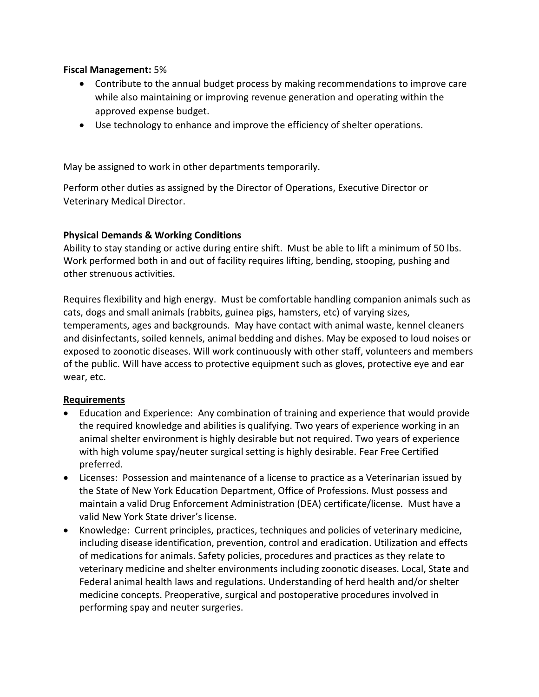#### **Fiscal Management:** 5%

- Contribute to the annual budget process by making recommendations to improve care while also maintaining or improving revenue generation and operating within the approved expense budget.
- Use technology to enhance and improve the efficiency of shelter operations.

May be assigned to work in other departments temporarily.

Perform other duties as assigned by the Director of Operations, Executive Director or Veterinary Medical Director.

## **Physical Demands & Working Conditions**

Ability to stay standing or active during entire shift. Must be able to lift a minimum of 50 lbs. Work performed both in and out of facility requires lifting, bending, stooping, pushing and other strenuous activities.

Requires flexibility and high energy. Must be comfortable handling companion animals such as cats, dogs and small animals (rabbits, guinea pigs, hamsters, etc) of varying sizes, temperaments, ages and backgrounds. May have contact with animal waste, kennel cleaners and disinfectants, soiled kennels, animal bedding and dishes. May be exposed to loud noises or exposed to zoonotic diseases. Will work continuously with other staff, volunteers and members of the public. Will have access to protective equipment such as gloves, protective eye and ear wear, etc.

## **Requirements**

- Education and Experience:Any combination of training and experience that would provide the required knowledge and abilities is qualifying. Two years of experience working in an animal shelter environment is highly desirable but not required. Two years of experience with high volume spay/neuter surgical setting is highly desirable. Fear Free Certified preferred.
- Licenses:Possession and maintenance of a license to practice as a Veterinarian issued by the State of New York Education Department, Office of Professions. Must possess and maintain a valid Drug Enforcement Administration (DEA) certificate/license. Must have a valid New York State driver's license.
- Knowledge:Current principles, practices, techniques and policies of veterinary medicine, including disease identification, prevention, control and eradication. Utilization and effects of medications for animals. Safety policies, procedures and practices as they relate to veterinary medicine and shelter environments including zoonotic diseases. Local, State and Federal animal health laws and regulations. Understanding of herd health and/or shelter medicine concepts. Preoperative, surgical and postoperative procedures involved in performing spay and neuter surgeries.